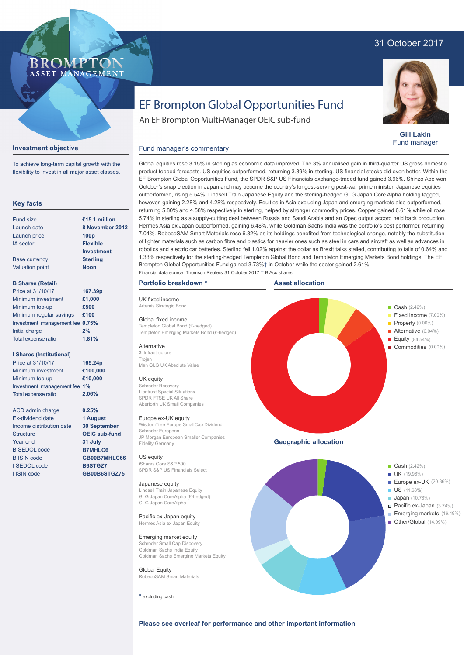# 31 October 2017



**Gill Lakin** Fund manager

# EF Brompton Global Opportunities Fund

An EF Brompton Multi-Manager OEIC sub-fund

## Fund manager's commentary



**Investment objective**

To achieve long-term capital growth with the flexibility to invest in all major asset classes.

**BROMP** 

ASSET MANAGEMENT

Ex-dividend date Income distribution date **Structure** Year end B SEDOL code B ISIN code I SEDOL code I ISIN code

**1 August 30 September OEIC sub-fund 31 July B7MHLC6 GB00B7MHLC66 B6STGZ7 GB00B6STGZ75**

product topped forecasts. US equities outperformed, returning 3.39% in sterling. US financial stocks did even better. Within the EF Brompton Global Opportunities Fund, the SPDR S&P US Financials exchange-traded fund gained 3.96%. Shinzo Abe won October's snap election in Japan and may become the country's longest-serving post-war prime minister. Japanese equities outperformed, rising 5.54%. Lindsell Train Japanese Equity and the sterling-hedged GLG Japan Core Alpha holding lagged, however, gaining 2.28% and 4.28% respectively. Equities in Asia excluding Japan and emerging markets also outperformed, returning 5.80% and 4.58% respectively in sterling, helped by stronger commodity prices. Copper gained 6.61% while oil rose 5.74% in sterling as a supply-cutting deal between Russia and Saudi Arabia and an Opec output accord held back production. Hermes Asia ex Japan outperformed, gaining 6.48%, while Goldman Sachs India was the portfolio's best performer, returning 7.04%. RobecoSAM Smart Materials rose 6.82% as its holdings benefited from technological change, notably the substitution of lighter materials such as carbon fibre and plastics for heavier ones such as steel in cars and aircraft as well as advances in robotics and electric car batteries. Sterling fell 1.02% against the dollar as Brexit talks stalled, contributing to falls of 0.64% and 1.33% respectively for the sterling-hedged Templeton Global Bond and Templeton Emerging Markets Bond holdings. The EF Brompton Global Opportunities Fund gained 3.73%† in October while the sector gained 2.61%. Financial data source: Thomson Reuters 31 October 2017 † B Acc shares

Global equities rose 3.15% in sterling as economic data improved. The 3% annualised gain in third-quarter US gross domestic

## **Portfolio breakdown \***

UK fixed income Artemis Strategic Bond

Global fixed income Templeton Global Bond (£-hedged) Templeton Emerging Markets Bond (£-hedged)

## **Alternative**

3i Infrastructure Trojan Man GLG UK Absolute Value

### UK equity

Schroder Recovery Liontrust Special Situations SPDR FTSE UK All Share Aberforth UK Small Companies

#### Europe ex-UK equity

WisdomTree Europe SmallCap Dividend Schroder European JP Morgan European Smaller Companies Fidelity Germany

#### US equity

iShares Core S&P 500 SPDR S&P US Financials Select

#### Japanese equity

Lindsell Train Japanese Equity GLG Japan CoreAlpha (£-hedged) GLG Japan CoreAlpha

Pacific ex-Japan equity Hermes Asia ex Japan Equity

Emerging market equity Schroder Small Cap Discovery Goldman Sachs India Equity Goldman Sachs Emerging Markets Equity

Global Equity RobecoSAM Smart Materials

**\*** excluding cash



US (11.68%) **Japan** (10.76%)

Den 2010 **Den 2010 Den 2010 Den 2010 Den 2010** Den 2010 Den 2010 Den 2010 Den 2010 Den 2010 Den 2010 Den 2010 D

Pacific ex-Japan (3.74%) Emerging markets (16.49%)

# **Please see overleaf for performance and other important information**